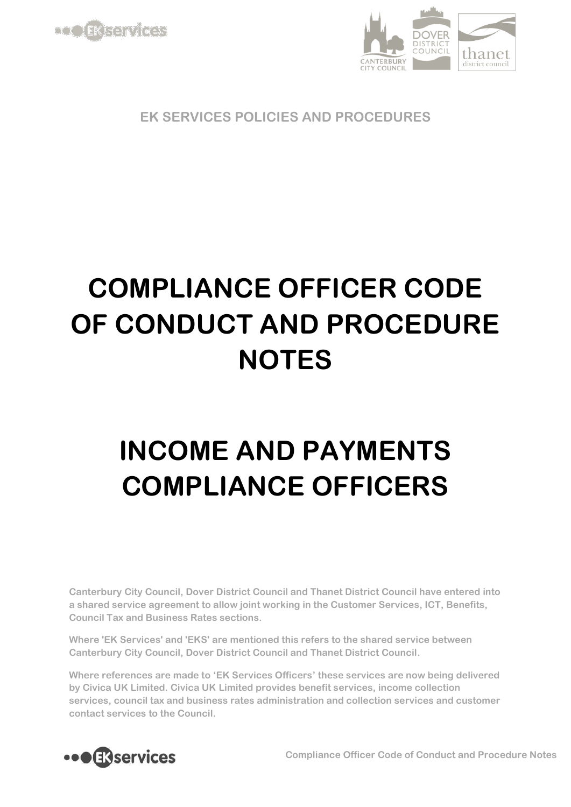



**EK SERVICES POLICIES AND PROCEDURES**

# **COMPLIANCE OFFICER CODE OF CONDUCT AND PROCEDURE NOTES**

# **INCOME AND PAYMENTS COMPLIANCE OFFICERS**

**Canterbury City Council, Dover District Council and Thanet District Council have entered into a shared service agreement to allow joint working in the Customer Services, ICT, Benefits, Council Tax and Business Rates sections.** 

**Where 'EK Services' and 'EKS' are mentioned this refers to the shared service between Canterbury City Council, Dover District Council and Thanet District Council.**

**Where references are made to 'EK Services Officers' these services are now being delivered by Civica UK Limited. Civica UK Limited provides benefit services, income collection services, council tax and business rates administration and collection services and customer contact services to the Council.**



**Compliance Officer Code of Conduct and Procedure Notes**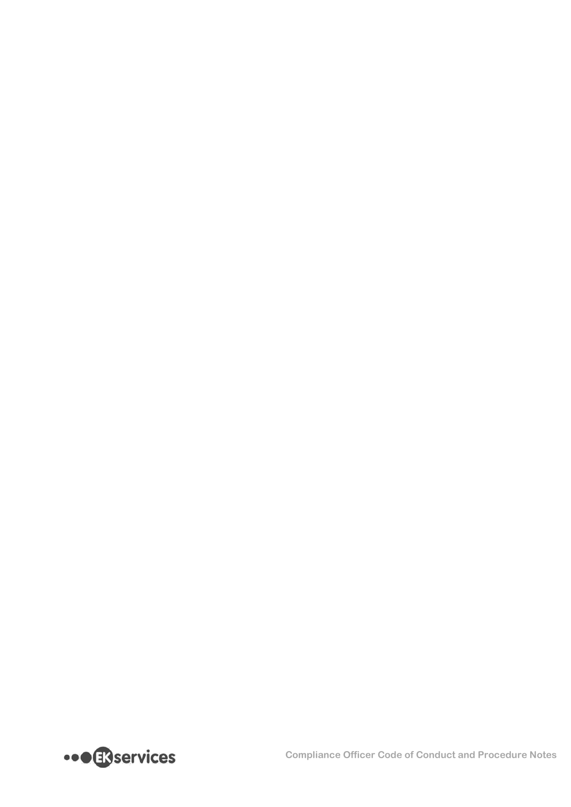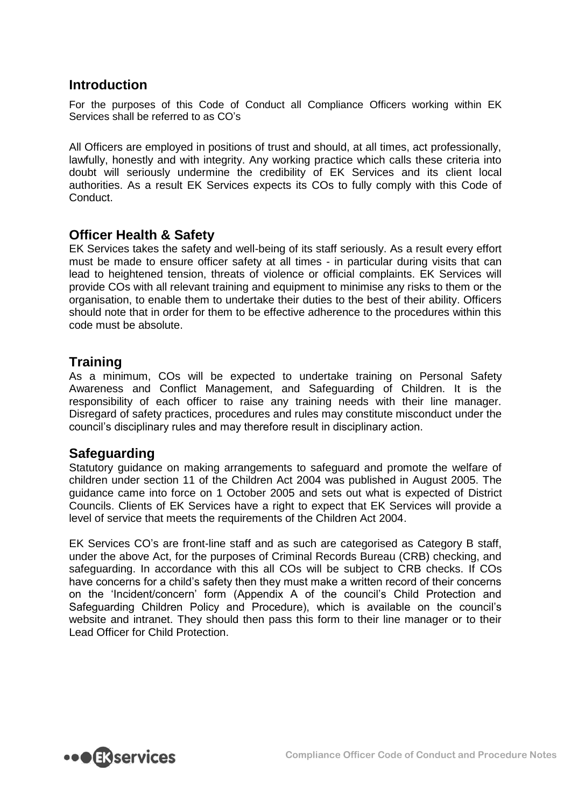#### **Introduction**

For the purposes of this Code of Conduct all Compliance Officers working within EK Services shall be referred to as CO's

All Officers are employed in positions of trust and should, at all times, act professionally, lawfully, honestly and with integrity. Any working practice which calls these criteria into doubt will seriously undermine the credibility of EK Services and its client local authorities. As a result EK Services expects its COs to fully comply with this Code of Conduct.

#### **Officer Health & Safety**

EK Services takes the safety and well-being of its staff seriously. As a result every effort must be made to ensure officer safety at all times - in particular during visits that can lead to heightened tension, threats of violence or official complaints. EK Services will provide COs with all relevant training and equipment to minimise any risks to them or the organisation, to enable them to undertake their duties to the best of their ability. Officers should note that in order for them to be effective adherence to the procedures within this code must be absolute.

### **Training**

As a minimum, COs will be expected to undertake training on Personal Safety Awareness and Conflict Management, and Safeguarding of Children. It is the responsibility of each officer to raise any training needs with their line manager. Disregard of safety practices, procedures and rules may constitute misconduct under the council's disciplinary rules and may therefore result in disciplinary action.

### **Safeguarding**

Statutory guidance on making arrangements to safeguard and promote the welfare of children under section 11 of the Children Act 2004 was published in August 2005. The guidance came into force on 1 October 2005 and sets out what is expected of District Councils. Clients of EK Services have a right to expect that EK Services will provide a level of service that meets the requirements of the Children Act 2004.

EK Services CO's are front-line staff and as such are categorised as Category B staff, under the above Act, for the purposes of Criminal Records Bureau (CRB) checking, and safeguarding. In accordance with this all COs will be subject to CRB checks. If COs have concerns for a child's safety then they must make a written record of their concerns on the 'Incident/concern' form (Appendix A of the council's Child Protection and Safeguarding Children Policy and Procedure), which is available on the council's website and intranet. They should then pass this form to their line manager or to their Lead Officer for Child Protection.

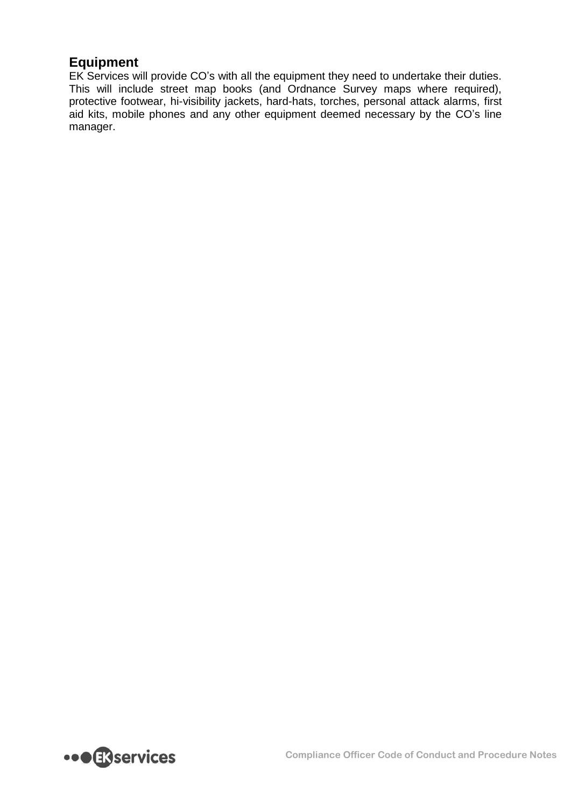### **Equipment**

EK Services will provide CO's with all the equipment they need to undertake their duties. This will include street map books (and Ordnance Survey maps where required), protective footwear, hi-visibility jackets, hard-hats, torches, personal attack alarms, first aid kits, mobile phones and any other equipment deemed necessary by the CO's line manager.

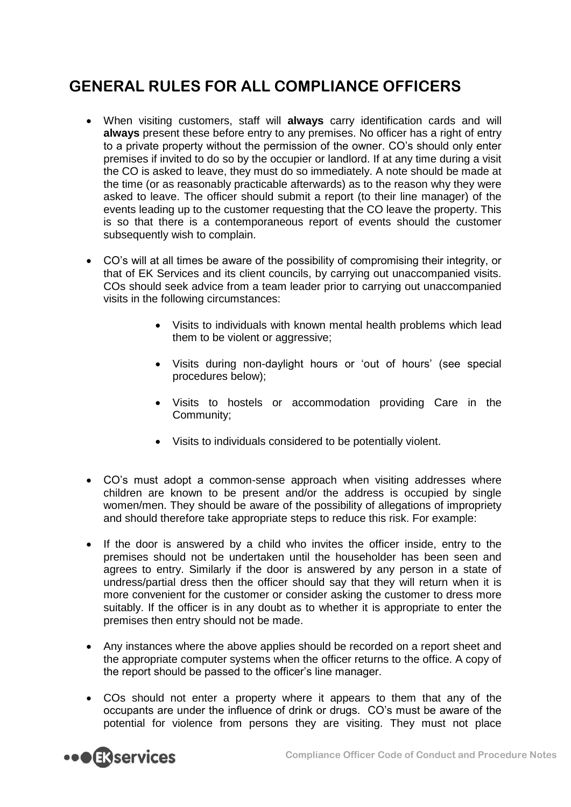## **GENERAL RULES FOR ALL COMPLIANCE OFFICERS**

- When visiting customers, staff will **always** carry identification cards and will **always** present these before entry to any premises. No officer has a right of entry to a private property without the permission of the owner. CO's should only enter premises if invited to do so by the occupier or landlord. If at any time during a visit the CO is asked to leave, they must do so immediately. A note should be made at the time (or as reasonably practicable afterwards) as to the reason why they were asked to leave. The officer should submit a report (to their line manager) of the events leading up to the customer requesting that the CO leave the property. This is so that there is a contemporaneous report of events should the customer subsequently wish to complain.
- CO's will at all times be aware of the possibility of compromising their integrity, or that of EK Services and its client councils, by carrying out unaccompanied visits. COs should seek advice from a team leader prior to carrying out unaccompanied visits in the following circumstances:
	- Visits to individuals with known mental health problems which lead them to be violent or aggressive;
	- Visits during non-daylight hours or 'out of hours' (see special procedures below);
	- Visits to hostels or accommodation providing Care in the Community;
	- Visits to individuals considered to be potentially violent.
- CO's must adopt a common-sense approach when visiting addresses where children are known to be present and/or the address is occupied by single women/men. They should be aware of the possibility of allegations of impropriety and should therefore take appropriate steps to reduce this risk. For example:
- If the door is answered by a child who invites the officer inside, entry to the premises should not be undertaken until the householder has been seen and agrees to entry. Similarly if the door is answered by any person in a state of undress/partial dress then the officer should say that they will return when it is more convenient for the customer or consider asking the customer to dress more suitably. If the officer is in any doubt as to whether it is appropriate to enter the premises then entry should not be made.
- Any instances where the above applies should be recorded on a report sheet and the appropriate computer systems when the officer returns to the office. A copy of the report should be passed to the officer's line manager.
- COs should not enter a property where it appears to them that any of the occupants are under the influence of drink or drugs. CO's must be aware of the potential for violence from persons they are visiting. They must not place

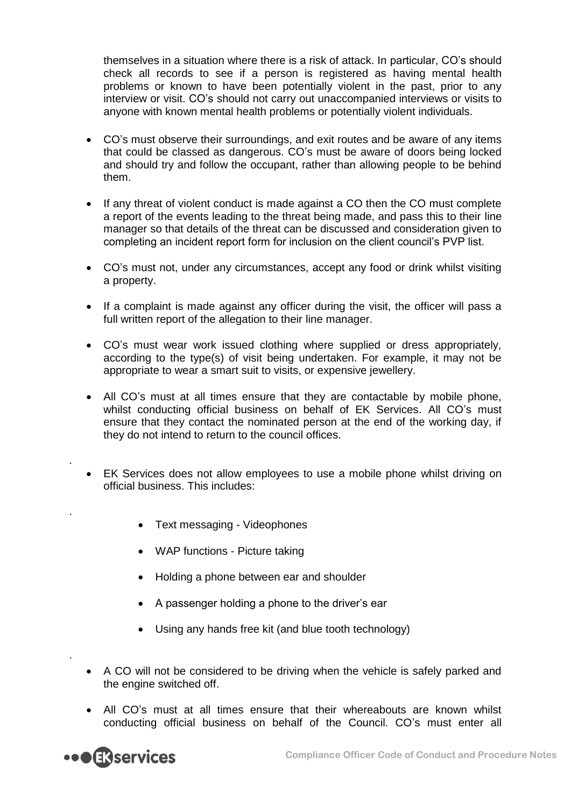themselves in a situation where there is a risk of attack. In particular, CO's should check all records to see if a person is registered as having mental health problems or known to have been potentially violent in the past, prior to any interview or visit. CO's should not carry out unaccompanied interviews or visits to anyone with known mental health problems or potentially violent individuals.

- CO's must observe their surroundings, and exit routes and be aware of any items that could be classed as dangerous. CO's must be aware of doors being locked and should try and follow the occupant, rather than allowing people to be behind them.
- If any threat of violent conduct is made against a CO then the CO must complete a report of the events leading to the threat being made, and pass this to their line manager so that details of the threat can be discussed and consideration given to completing an incident report form for inclusion on the client council's PVP list.
- CO's must not, under any circumstances, accept any food or drink whilst visiting a property.
- If a complaint is made against any officer during the visit, the officer will pass a full written report of the allegation to their line manager.
- CO's must wear work issued clothing where supplied or dress appropriately, according to the type(s) of visit being undertaken. For example, it may not be appropriate to wear a smart suit to visits, or expensive jewellery.
- All CO's must at all times ensure that they are contactable by mobile phone, whilst conducting official business on behalf of EK Services. All CO's must ensure that they contact the nominated person at the end of the working day, if they do not intend to return to the council offices.
- EK Services does not allow employees to use a mobile phone whilst driving on official business. This includes:
	- Text messaging Videophones
	- WAP functions Picture taking
	- Holding a phone between ear and shoulder
	- A passenger holding a phone to the driver's ear
	- Using any hands free kit (and blue tooth technology)
- A CO will not be considered to be driving when the vehicle is safely parked and the engine switched off.
- All CO's must at all times ensure that their whereabouts are known whilst conducting official business on behalf of the Council. CO's must enter all



.

.

.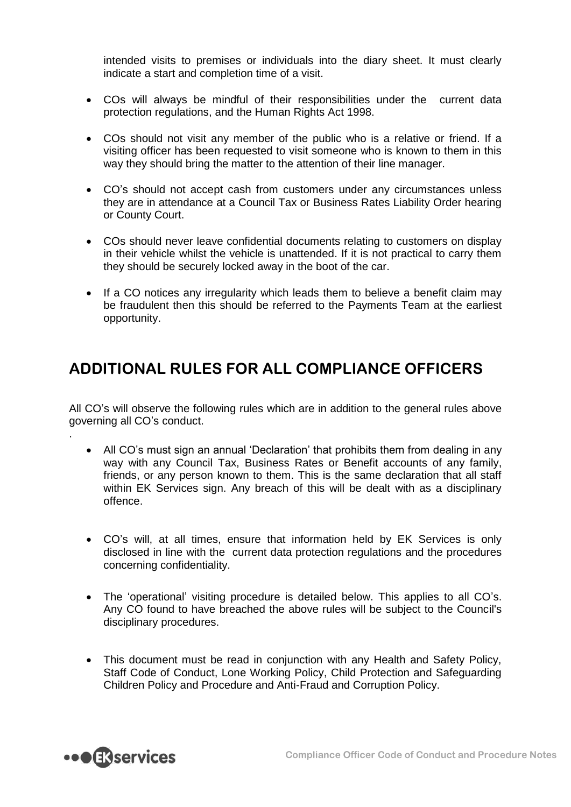intended visits to premises or individuals into the diary sheet. It must clearly indicate a start and completion time of a visit.

- COs will always be mindful of their responsibilities under the current data protection regulations, and the Human Rights Act 1998.
- COs should not visit any member of the public who is a relative or friend. If a visiting officer has been requested to visit someone who is known to them in this way they should bring the matter to the attention of their line manager.
- CO's should not accept cash from customers under any circumstances unless they are in attendance at a Council Tax or Business Rates Liability Order hearing or County Court.
- COs should never leave confidential documents relating to customers on display in their vehicle whilst the vehicle is unattended. If it is not practical to carry them they should be securely locked away in the boot of the car.
- If a CO notices any irregularity which leads them to believe a benefit claim may be fraudulent then this should be referred to the Payments Team at the earliest opportunity.

## **ADDITIONAL RULES FOR ALL COMPLIANCE OFFICERS**

All CO's will observe the following rules which are in addition to the general rules above governing all CO's conduct.

- All CO's must sign an annual 'Declaration' that prohibits them from dealing in any way with any Council Tax, Business Rates or Benefit accounts of any family, friends, or any person known to them. This is the same declaration that all staff within EK Services sign. Any breach of this will be dealt with as a disciplinary offence.
- CO's will, at all times, ensure that information held by EK Services is only disclosed in line with the current data protection regulations and the procedures concerning confidentiality.
- The 'operational' visiting procedure is detailed below. This applies to all CO's. Any CO found to have breached the above rules will be subject to the Council's disciplinary procedures.
- This document must be read in conjunction with any Health and Safety Policy, Staff Code of Conduct, Lone Working Policy, Child Protection and Safeguarding Children Policy and Procedure and Anti-Fraud and Corruption Policy.



.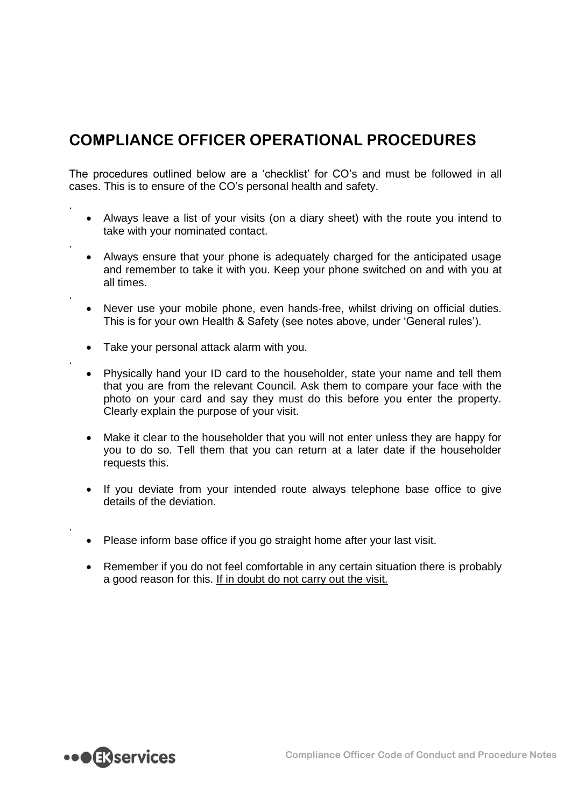## **COMPLIANCE OFFICER OPERATIONAL PROCEDURES**

The procedures outlined below are a 'checklist' for CO's and must be followed in all cases. This is to ensure of the CO's personal health and safety.

- Always leave a list of your visits (on a diary sheet) with the route you intend to take with your nominated contact.
- Always ensure that your phone is adequately charged for the anticipated usage and remember to take it with you. Keep your phone switched on and with you at all times.
- Never use your mobile phone, even hands-free, whilst driving on official duties. This is for your own Health & Safety (see notes above, under 'General rules').
- Take your personal attack alarm with you.

.

.

.

.

.

- Physically hand your ID card to the householder, state your name and tell them that you are from the relevant Council. Ask them to compare your face with the photo on your card and say they must do this before you enter the property. Clearly explain the purpose of your visit.
- Make it clear to the householder that you will not enter unless they are happy for you to do so. Tell them that you can return at a later date if the householder requests this.
- If you deviate from your intended route always telephone base office to give details of the deviation.
- Please inform base office if you go straight home after your last visit.
- Remember if you do not feel comfortable in any certain situation there is probably a good reason for this. If in doubt do not carry out the visit.